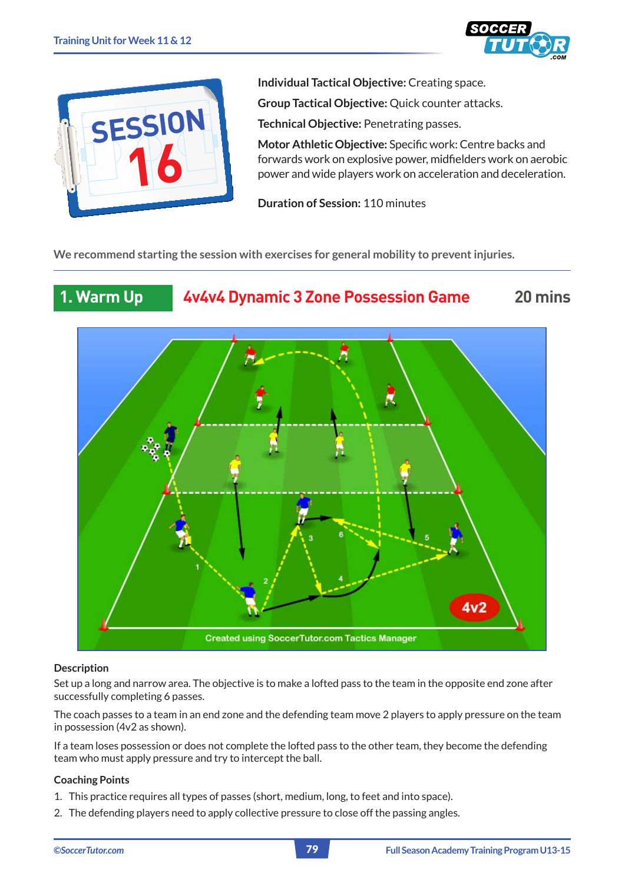



**Individual Tactical Objective:** Creating space.

**Group Tactical Objective: Quick counter attacks.** 

**Technical Objective:** Penetrating passes.

**Motor Athletic Objective:** Specific work: Centre backs and forwards work on explosive power, midfielders work on aerobic power and wide players work on acceleration and deceleration.

**Duration of Session:** 110 minutes

**We recommend starting the session with exercises for general mobility to prevent injuries.**





## **Description**

Set up a long and narrow area. The objective is to make a lofted pass to the team in the opposite end zone after successfully completing 6 passes.

The coach passes to a team in an end zone and the defending team move 2 players to apply pressure on the team in possession (4v2 as shown).

If a team loses possession or does not complete the lofted pass to the other team, they become the defending team who must apply pressure and try to intercept the ball.

## **Coaching Points**

- 1. This practice requires all types of passes (short, medium, long, to feet and into space).
- 2. The defending players need to apply collective pressure to close off the passing angles.